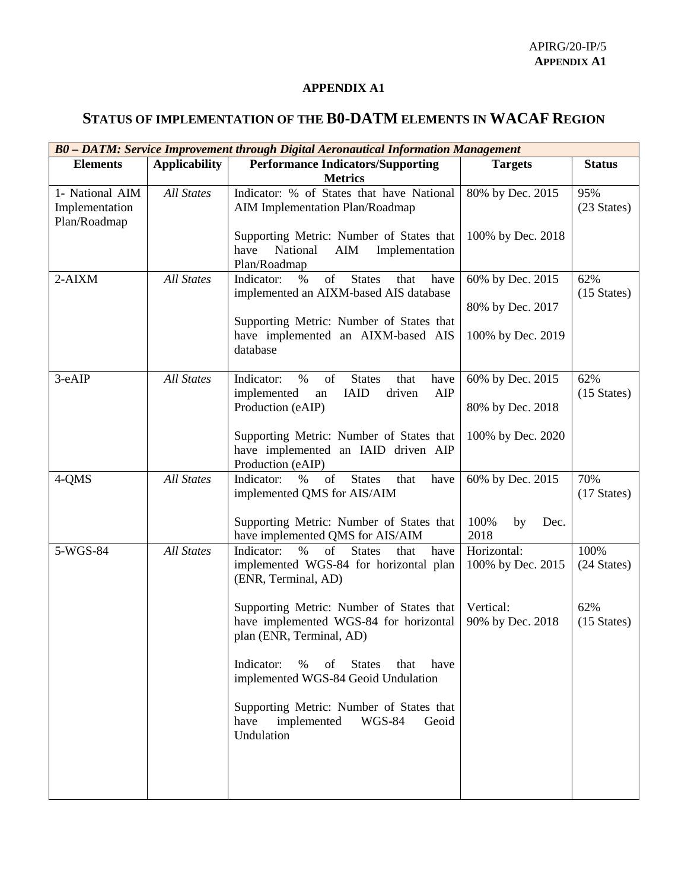## **APPENDIX A1**

## **STATUS OF IMPLEMENTATION OF THE B0-DATM ELEMENTS IN WACAF REGION**

| B0 - DATM: Service Improvement through Digital Aeronautical Information Management |                   |                                                                                                                                                   |                                      |                              |  |  |
|------------------------------------------------------------------------------------|-------------------|---------------------------------------------------------------------------------------------------------------------------------------------------|--------------------------------------|------------------------------|--|--|
| <b>Elements</b>                                                                    | Applicability     | <b>Performance Indicators/Supporting</b><br><b>Metrics</b>                                                                                        | <b>Targets</b>                       | <b>Status</b>                |  |  |
| 1- National AIM<br>Implementation<br>Plan/Roadmap                                  | <b>All States</b> | Indicator: % of States that have National<br>AIM Implementation Plan/Roadmap                                                                      | 80% by Dec. 2015                     | 95%<br>(23 States)           |  |  |
|                                                                                    |                   | Supporting Metric: Number of States that<br>have<br>National<br>AIM<br>Implementation<br>Plan/Roadmap                                             | 100% by Dec. 2018                    |                              |  |  |
| $2-AIXM$                                                                           | <b>All States</b> | of<br><b>States</b><br>Indicator:<br>$\%$<br>that<br>have<br>implemented an AIXM-based AIS database                                               | 60% by Dec. 2015<br>80% by Dec. 2017 | 62%<br>$(15 \text{ States})$ |  |  |
|                                                                                    |                   | Supporting Metric: Number of States that<br>have implemented an AIXM-based AIS<br>database                                                        | 100% by Dec. 2019                    |                              |  |  |
| 3-eAIP                                                                             | <b>All States</b> | Indicator:<br>$\%$<br>of<br><b>States</b><br>that<br>have<br><b>IAID</b><br>AIP<br>implemented<br>driven<br>an                                    | 60% by Dec. 2015                     | 62%<br>$(15 \text{ States})$ |  |  |
|                                                                                    |                   | Production (eAIP)                                                                                                                                 | 80% by Dec. 2018                     |                              |  |  |
|                                                                                    |                   | Supporting Metric: Number of States that<br>have implemented an IAID driven AIP<br>Production (eAIP)                                              | 100% by Dec. 2020                    |                              |  |  |
| 4-QMS                                                                              | <b>All States</b> | $% \left( \left( \mathcal{A},\mathcal{A}\right) \right)$ of<br>Indicator:<br>$\%$<br><b>States</b><br>that<br>have<br>implemented QMS for AIS/AIM | 60% by Dec. 2015                     | 70%<br>$(17 \text{ States})$ |  |  |
|                                                                                    |                   | Supporting Metric: Number of States that<br>have implemented QMS for AIS/AIM                                                                      | 100%<br>by<br>Dec.<br>2018           |                              |  |  |
| 5-WGS-84                                                                           | <b>All States</b> | Indicator:<br>$\frac{0}{0}$<br>of<br><b>States</b><br>have<br>that<br>implemented WGS-84 for horizontal plan<br>(ENR, Terminal, AD)               | Horizontal:<br>100% by Dec. 2015     | 100%<br>(24 States)          |  |  |
|                                                                                    |                   | Supporting Metric: Number of States that<br>have implemented WGS-84 for horizontal<br>plan (ENR, Terminal, AD)                                    | Vertical:<br>90% by Dec. 2018        | 62%<br>$(15 \text{ States})$ |  |  |
|                                                                                    |                   | % of States that<br>Indicator:<br>have<br>implemented WGS-84 Geoid Undulation                                                                     |                                      |                              |  |  |
|                                                                                    |                   | Supporting Metric: Number of States that<br>have<br>implemented<br>Geoid<br>WGS-84<br>Undulation                                                  |                                      |                              |  |  |
|                                                                                    |                   |                                                                                                                                                   |                                      |                              |  |  |